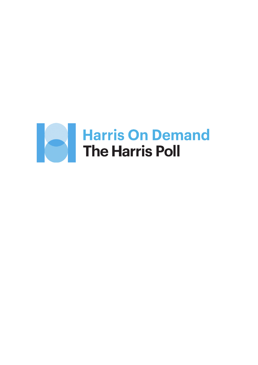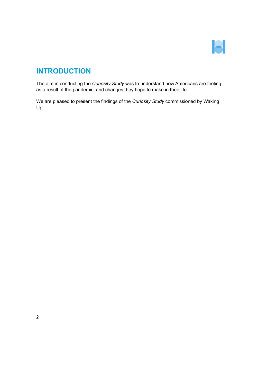

# **INTRODUCTION**

The aim in conducting the *Curiosity Study* was to understand how Americans are feeling as a result of the pandemic, and changes they hope to make in their life.

We are pleased to present the findings of the *Curiosity Study* commissioned by Waking Up.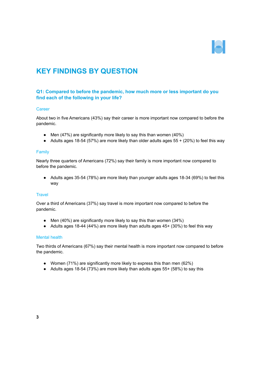

# **KEY FINDINGS BY QUESTION**

# **Q1: Compared to before the pandemic, how much more or less important do you find each of the following in your life?**

## **Career**

About two in five Americans (43%) say their career is more important now compared to before the pandemic.

- Men (47%) are significantly more likely to say this than women (40%)
- Adults ages 18-54 (57%) are more likely than older adults ages  $55 + (20%)$  to feel this way

#### Family

Nearly three quarters of Americans (72%) say their family is more important now compared to before the pandemic.

● Adults ages 35-54 (78%) are more likely than younger adults ages 18-34 (69%) to feel this way

## **Travel**

Over a third of Americans (37%) say travel is more important now compared to before the pandemic.

- Men (40%) are significantly more likely to say this than women (34%)
- Adults ages 18-44 (44%) are more likely than adults ages 45+ (30%) to feel this way

## Mental health

Two thirds of Americans (67%) say their mental health is more important now compared to before the pandemic.

- Women (71%) are significantly more likely to express this than men (62%)
- Adults ages 18-54 (73%) are more likely than adults ages 55+ (58%) to say this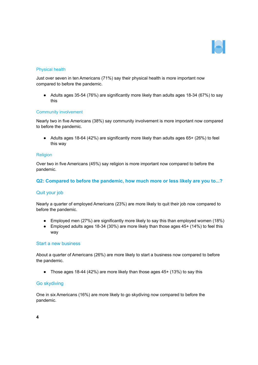

## Physical health

Just over seven in ten Americans (71%) say their physical health is more important now compared to before the pandemic.

● Adults ages 35-54 (76%) are significantly more likely than adults ages 18-34 (67%) to say this

### Community involvement

Nearly two in five Americans (38%) say community involvement is more important now compared to before the pandemic.

● Adults ages 18-64 (42%) are significantly more likely than adults ages 65+ (26%) to feel this way

### Religion

Over two in five Americans (45%) say religion is more important now compared to before the pandemic.

## **Q2: Compared to before the pandemic, how much more or less likely are you to...?**

## Quit your job

Nearly a quarter of employed Americans (23%) are more likely to quit their job now compared to before the pandemic.

- Employed men (27%) are significantly more likely to say this than employed women (18%)
- $\bullet$  Employed adults ages 18-34 (30%) are more likely than those ages 45+ (14%) to feel this way

#### Start a new business

About a quarter of Americans (26%) are more likely to start a business now compared to before the pandemic.

• Those ages 18-44 (42%) are more likely than those ages  $45+ (13%)$  to say this

## Go skydiving

One in six Americans (16%) are more likely to go skydiving now compared to before the pandemic.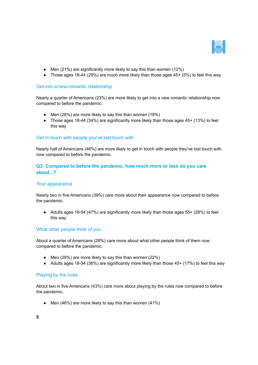

- Men  $(21\%)$  are significantly more likely to say this than women  $(12\%)$
- Those ages 18-44 (29%) are much more likely than those ages  $45+ (5%)$  to feel this way

## Get into a new romantic relationship

Nearly a quarter of Americans (23%) are more likely to get into a new romantic relationship now compared to before the pandemic.

- Men (28%) are more likely to say this than women (18%)
- Those ages 18-44 (34%) are significantly more likely than those ages 45+ (13%) to feel this way

## Get in touch with people you've lost touch with

Nearly half of Americans (46%) are more likely to get in touch with people they've lost touch with now compared to before the pandemic.

# **Q3: Compared to before the pandemic, how much more or less do you care about...?**

## Your appearance

Nearly two in five Americans (39%) care more about their appearance now compared to before the pandemic.

● Adults ages 18-54 (47%) are significantly more likely than those ages 55+ (28%) to feel this way

## What other people think of you

About a quarter of Americans (26%) care more about what other people think of them now compared to before the pandemic.

- Men  $(29%)$  are more likely to say this than women  $(22%)$
- Adults ages 18-34 (36%) are significantly more likely than those  $45+$  (17%) to feel this way

## Playing by the rules

About two in five Americans (43%) care more about playing by the rules now compared to before the pandemic.

• Men  $(46\%)$  are more likely to say this than women  $(41\%)$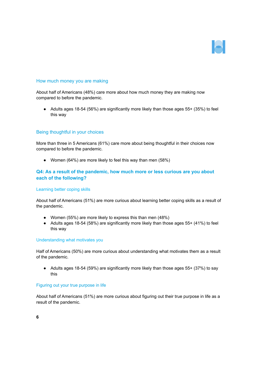

## How much money you are making

About half of Americans (48%) care more about how much money they are making now compared to before the pandemic.

● Adults ages 18-54 (56%) are significantly more likely than those ages 55+ (35%) to feel this way

### Being thoughtful in your choices

More than three in 5 Americans (61%) care more about being thoughtful in their choices now compared to before the pandemic.

● Women (64%) are more likely to feel this way than men (58%)

## **Q4: As a result of the pandemic, how much more or less curious are you about each of the following?**

#### Learning better coping skills

About half of Americans (51%) are more curious about learning better coping skills as a result of the pandemic.

- Women (55%) are more likely to express this than men (48%)
- Adults ages 18-54 (58%) are significantly more likely than those ages 55+ (41%) to feel this way

#### Understanding what motivates you

Half of Americans (50%) are more curious about understanding what motivates them as a result of the pandemic.

● Adults ages 18-54 (59%) are significantly more likely than those ages 55+ (37%) to say this

## Figuring out your true purpose in life

About half of Americans (51%) are more curious about figuring out their true purpose in life as a result of the pandemic.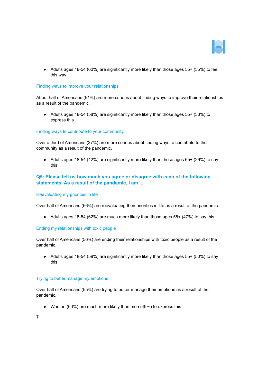

● Adults ages 18-54 (60%) are significantly more likely than those ages 55+ (35%) to feel this way

#### Finding ways to improve your relationships

About half of Americans (51%) are more curious about finding ways to improve their relationships as a result of the pandemic.

● Adults ages 18-54 (58%) are significantly more likely than those ages 55+ (38%) to express this

### Finding ways to contribute to your community

Over a third of Americans (37%) are more curious about finding ways to contribute to their community as a result of the pandemic.

● Adults ages 18-54 (42%) are significantly more likely than those ages 65+ (26%) to say this

## **Q5: Please tell us how much you agree or disagree with each of the following statements. As a result of the pandemic, I am ...**

#### Reevaluating my priorities in life

Over half of Americans (56%) are reevaluating their priorities in life as a result of the pandemic.

● Adults ages 18-54 (62%) are much more likely than those ages 55+ (47%) to say this

#### Ending my relationships with toxic people

Over half of Americans (56%) are ending their relationships with toxic people as a result of the pandemic.

● Adults ages 18-54 (59%) are significantly more likely than those ages 55+ (50%) to say this

#### Trying to better manage my emotions

Over half of Americans (55%) are trying to better manage their emotions as a result of the pandemic.

● Women (60%) are much more likely than men (49%) to express this.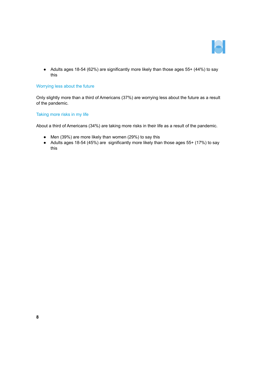

● Adults ages 18-54 (62%) are significantly more likely than those ages 55+ (44%) to say this

### Worrying less about the future

Only slightly more than a third of Americans (37%) are worrying less about the future as a result of the pandemic.

## Taking more risks in my life

About a third of Americans (34%) are taking more risks in their life as a result of the pandemic.

- Men (39%) are more likely than women (29%) to say this
- Adults ages 18-54 (45%) are significantly more likely than those ages 55+ (17%) to say this